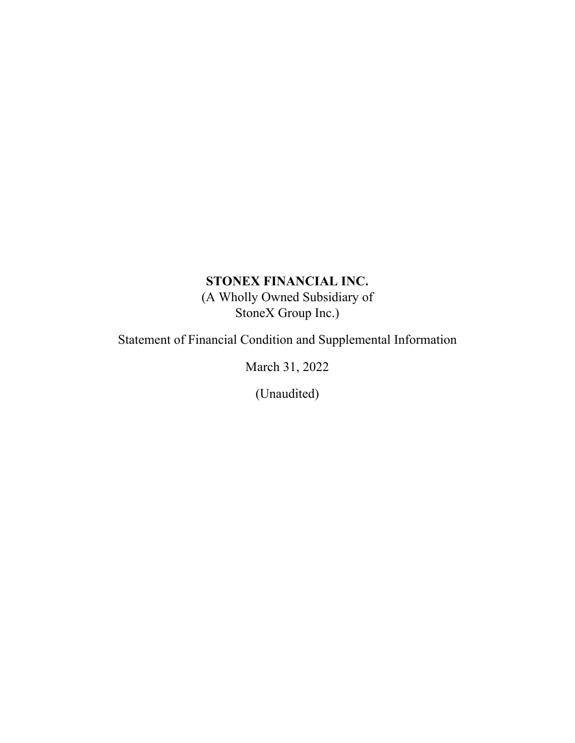# **STONEX FINANCIAL INC.**

(A Wholly Owned Subsidiary of StoneX Group Inc.)

Statement of Financial Condition and Supplemental Information

March 31, 2022

(Unaudited)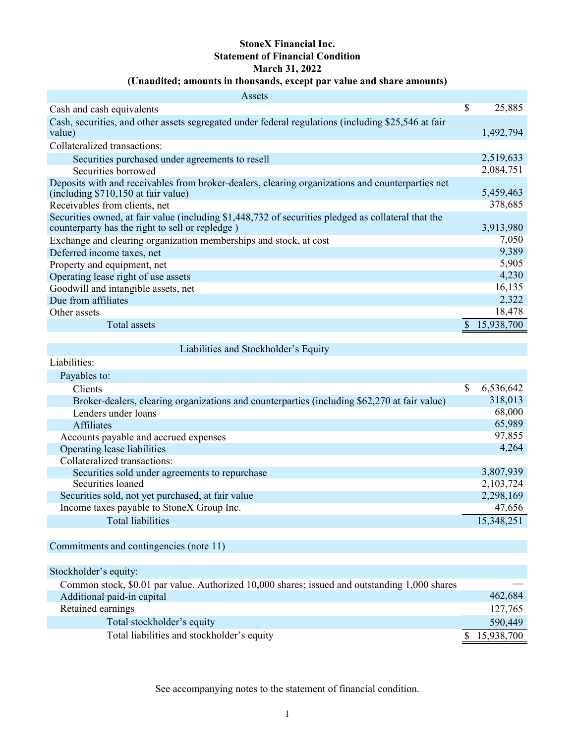# **StoneX Financial Inc. Statement of Financial Condition March 31, 2022**

## **(Unaudited; amounts in thousands, except par value and share amounts)**

| Assets                                                                                                                                                 |   |            |
|--------------------------------------------------------------------------------------------------------------------------------------------------------|---|------------|
| Cash and cash equivalents                                                                                                                              | S | 25,885     |
| Cash, securities, and other assets segregated under federal regulations (including \$25,546 at fair<br>value)                                          |   | 1,492,794  |
| Collateralized transactions:                                                                                                                           |   |            |
| Securities purchased under agreements to resell                                                                                                        |   | 2,519,633  |
| Securities borrowed                                                                                                                                    |   | 2,084,751  |
| Deposits with and receivables from broker-dealers, clearing organizations and counterparties net<br>(including \$710,150 at fair value)                |   | 5,459,463  |
| Receivables from clients, net                                                                                                                          |   | 378,685    |
| Securities owned, at fair value (including \$1,448,732 of securities pledged as collateral that the<br>counterparty has the right to sell or repledge) |   | 3,913,980  |
| Exchange and clearing organization memberships and stock, at cost                                                                                      |   | 7,050      |
| Deferred income taxes, net                                                                                                                             |   | 9,389      |
| Property and equipment, net                                                                                                                            |   | 5,905      |
| Operating lease right of use assets                                                                                                                    |   | 4,230      |
| Goodwill and intangible assets, net                                                                                                                    |   | 16,135     |
| Due from affiliates                                                                                                                                    |   | 2,322      |
| Other assets                                                                                                                                           |   | 18,478     |
| Total assets                                                                                                                                           |   | 15,938,700 |

Liabilities and Stockholder's Equity

Liabilities:

| Payables to:                                                                                 |   |            |
|----------------------------------------------------------------------------------------------|---|------------|
| <b>Clients</b>                                                                               | S | 6,536,642  |
| Broker-dealers, clearing organizations and counterparties (including \$62,270 at fair value) |   | 318,013    |
| Lenders under loans                                                                          |   | 68,000     |
| <b>Affiliates</b>                                                                            |   | 65,989     |
| Accounts payable and accrued expenses                                                        |   | 97,855     |
| Operating lease liabilities                                                                  |   | 4,264      |
| Collateralized transactions:                                                                 |   |            |
| Securities sold under agreements to repurchase                                               |   | 3,807,939  |
| Securities loaned                                                                            |   | 2,103,724  |
| Securities sold, not yet purchased, at fair value                                            |   | 2,298,169  |
| Income taxes payable to StoneX Group Inc.                                                    |   | 47,656     |
| <b>Total liabilities</b>                                                                     |   | 15,348,251 |

Commitments and contingencies (note 11)

Stockholder's equity:

| Common stock, \$0.01 par value. Authorized 10,000 shares; issued and outstanding 1,000 shares |              |
|-----------------------------------------------------------------------------------------------|--------------|
| Additional paid-in capital                                                                    | 462,684      |
| Retained earnings                                                                             | 127,765      |
| Total stockholder's equity                                                                    | 590,449      |
| Total liabilities and stockholder's equity                                                    | \$15,938,700 |

See accompanying notes to the statement of financial condition.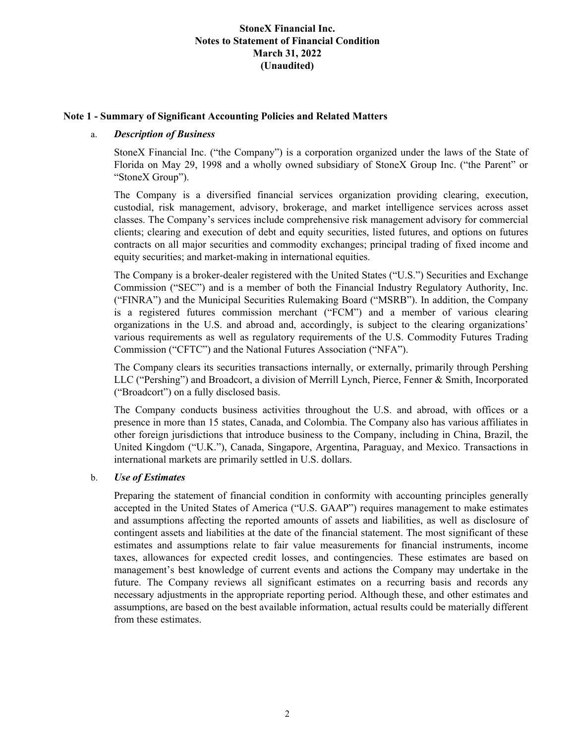#### **Note 1 - Summary of Significant Accounting Policies and Related Matters**

#### a. *Description of Business*

StoneX Financial Inc. ("the Company") is a corporation organized under the laws of the State of Florida on May 29, 1998 and a wholly owned subsidiary of StoneX Group Inc. ("the Parent" or "StoneX Group").

The Company is a diversified financial services organization providing clearing, execution, custodial, risk management, advisory, brokerage, and market intelligence services across asset classes. The Company's services include comprehensive risk management advisory for commercial clients; clearing and execution of debt and equity securities, listed futures, and options on futures contracts on all major securities and commodity exchanges; principal trading of fixed income and equity securities; and market-making in international equities.

The Company is a broker-dealer registered with the United States ("U.S.") Securities and Exchange Commission ("SEC") and is a member of both the Financial Industry Regulatory Authority, Inc. ("FINRA") and the Municipal Securities Rulemaking Board ("MSRB"). In addition, the Company is a registered futures commission merchant ("FCM") and a member of various clearing organizations in the U.S. and abroad and, accordingly, is subject to the clearing organizations' various requirements as well as regulatory requirements of the U.S. Commodity Futures Trading Commission ("CFTC") and the National Futures Association ("NFA").

The Company clears its securities transactions internally, or externally, primarily through Pershing LLC ("Pershing") and Broadcort, a division of Merrill Lynch, Pierce, Fenner & Smith, Incorporated ("Broadcort") on a fully disclosed basis.

The Company conducts business activities throughout the U.S. and abroad, with offices or a presence in more than 15 states, Canada, and Colombia. The Company also has various affiliates in other foreign jurisdictions that introduce business to the Company, including in China, Brazil, the United Kingdom ("U.K."), Canada, Singapore, Argentina, Paraguay, and Mexico. Transactions in international markets are primarily settled in U.S. dollars.

### b. *Use of Estimates*

Preparing the statement of financial condition in conformity with accounting principles generally accepted in the United States of America ("U.S. GAAP") requires management to make estimates and assumptions affecting the reported amounts of assets and liabilities, as well as disclosure of contingent assets and liabilities at the date of the financial statement. The most significant of these estimates and assumptions relate to fair value measurements for financial instruments, income taxes, allowances for expected credit losses, and contingencies. These estimates are based on management's best knowledge of current events and actions the Company may undertake in the future. The Company reviews all significant estimates on a recurring basis and records any necessary adjustments in the appropriate reporting period. Although these, and other estimates and assumptions, are based on the best available information, actual results could be materially different from these estimates.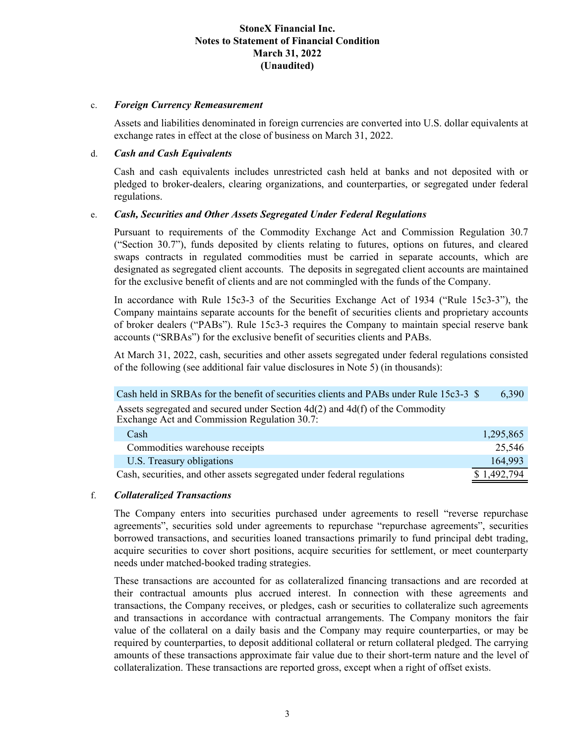#### c. *Foreign Currency Remeasurement*

Assets and liabilities denominated in foreign currencies are converted into U.S. dollar equivalents at exchange rates in effect at the close of business on March 31, 2022.

#### d. *Cash and Cash Equivalents*

Cash and cash equivalents includes unrestricted cash held at banks and not deposited with or pledged to broker-dealers, clearing organizations, and counterparties, or segregated under federal regulations.

#### e. *Cash, Securities and Other Assets Segregated Under Federal Regulations*

Pursuant to requirements of the Commodity Exchange Act and Commission Regulation 30.7 ("Section 30.7"), funds deposited by clients relating to futures, options on futures, and cleared swaps contracts in regulated commodities must be carried in separate accounts, which are designated as segregated client accounts. The deposits in segregated client accounts are maintained for the exclusive benefit of clients and are not commingled with the funds of the Company.

In accordance with Rule 15c3-3 of the Securities Exchange Act of 1934 ("Rule 15c3-3"), the Company maintains separate accounts for the benefit of securities clients and proprietary accounts of broker dealers ("PABs"). Rule 15c3-3 requires the Company to maintain special reserve bank accounts ("SRBAs") for the exclusive benefit of securities clients and PABs.

At March 31, 2022, cash, securities and other assets segregated under federal regulations consisted of the following (see additional fair value disclosures in Note 5) (in thousands):

| Cash held in SRBAs for the benefit of securities clients and PABs under Rule 15c3-3 \$                                           | 6,390       |
|----------------------------------------------------------------------------------------------------------------------------------|-------------|
| Assets segregated and secured under Section $4d(2)$ and $4d(f)$ of the Commodity<br>Exchange Act and Commission Regulation 30.7: |             |
| Cash                                                                                                                             | 1,295,865   |
| Commodities warehouse receipts                                                                                                   | 25,546      |
| U.S. Treasury obligations                                                                                                        | 164,993     |
| Cash, securities, and other assets segregated under federal regulations                                                          | \$1,492,794 |

### f. *Collateralized Transactions*

The Company enters into securities purchased under agreements to resell "reverse repurchase agreements", securities sold under agreements to repurchase "repurchase agreements", securities borrowed transactions, and securities loaned transactions primarily to fund principal debt trading, acquire securities to cover short positions, acquire securities for settlement, or meet counterparty needs under matched-booked trading strategies.

These transactions are accounted for as collateralized financing transactions and are recorded at their contractual amounts plus accrued interest. In connection with these agreements and transactions, the Company receives, or pledges, cash or securities to collateralize such agreements and transactions in accordance with contractual arrangements. The Company monitors the fair value of the collateral on a daily basis and the Company may require counterparties, or may be required by counterparties, to deposit additional collateral or return collateral pledged. The carrying amounts of these transactions approximate fair value due to their short-term nature and the level of collateralization. These transactions are reported gross, except when a right of offset exists.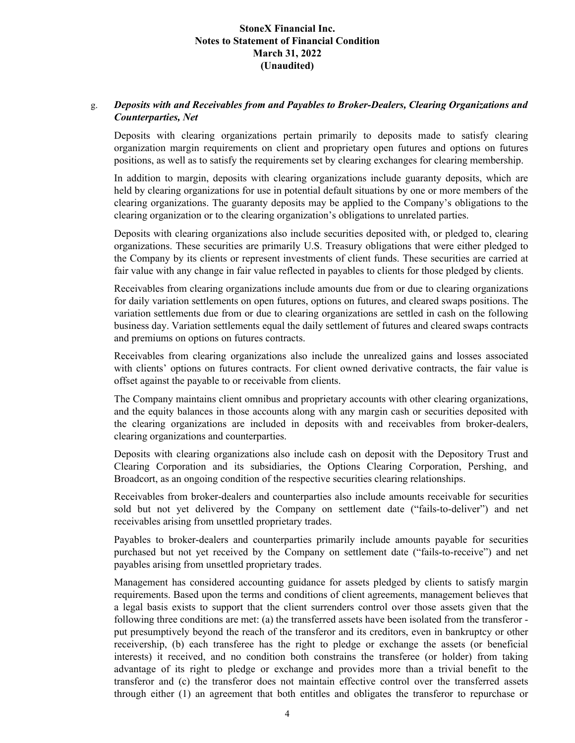### g. *Deposits with and Receivables from and Payables to Broker-Dealers, Clearing Organizations and Counterparties, Net*

Deposits with clearing organizations pertain primarily to deposits made to satisfy clearing organization margin requirements on client and proprietary open futures and options on futures positions, as well as to satisfy the requirements set by clearing exchanges for clearing membership.

In addition to margin, deposits with clearing organizations include guaranty deposits, which are held by clearing organizations for use in potential default situations by one or more members of the clearing organizations. The guaranty deposits may be applied to the Company's obligations to the clearing organization or to the clearing organization's obligations to unrelated parties.

Deposits with clearing organizations also include securities deposited with, or pledged to, clearing organizations. These securities are primarily U.S. Treasury obligations that were either pledged to the Company by its clients or represent investments of client funds. These securities are carried at fair value with any change in fair value reflected in payables to clients for those pledged by clients.

Receivables from clearing organizations include amounts due from or due to clearing organizations for daily variation settlements on open futures, options on futures, and cleared swaps positions. The variation settlements due from or due to clearing organizations are settled in cash on the following business day. Variation settlements equal the daily settlement of futures and cleared swaps contracts and premiums on options on futures contracts.

Receivables from clearing organizations also include the unrealized gains and losses associated with clients' options on futures contracts. For client owned derivative contracts, the fair value is offset against the payable to or receivable from clients.

The Company maintains client omnibus and proprietary accounts with other clearing organizations, and the equity balances in those accounts along with any margin cash or securities deposited with the clearing organizations are included in deposits with and receivables from broker-dealers, clearing organizations and counterparties.

Deposits with clearing organizations also include cash on deposit with the Depository Trust and Clearing Corporation and its subsidiaries, the Options Clearing Corporation, Pershing, and Broadcort, as an ongoing condition of the respective securities clearing relationships.

Receivables from broker-dealers and counterparties also include amounts receivable for securities sold but not yet delivered by the Company on settlement date ("fails-to-deliver") and net receivables arising from unsettled proprietary trades.

Payables to broker-dealers and counterparties primarily include amounts payable for securities purchased but not yet received by the Company on settlement date ("fails-to-receive") and net payables arising from unsettled proprietary trades.

Management has considered accounting guidance for assets pledged by clients to satisfy margin requirements. Based upon the terms and conditions of client agreements, management believes that a legal basis exists to support that the client surrenders control over those assets given that the following three conditions are met: (a) the transferred assets have been isolated from the transferor put presumptively beyond the reach of the transferor and its creditors, even in bankruptcy or other receivership, (b) each transferee has the right to pledge or exchange the assets (or beneficial interests) it received, and no condition both constrains the transferee (or holder) from taking advantage of its right to pledge or exchange and provides more than a trivial benefit to the transferor and (c) the transferor does not maintain effective control over the transferred assets through either (1) an agreement that both entitles and obligates the transferor to repurchase or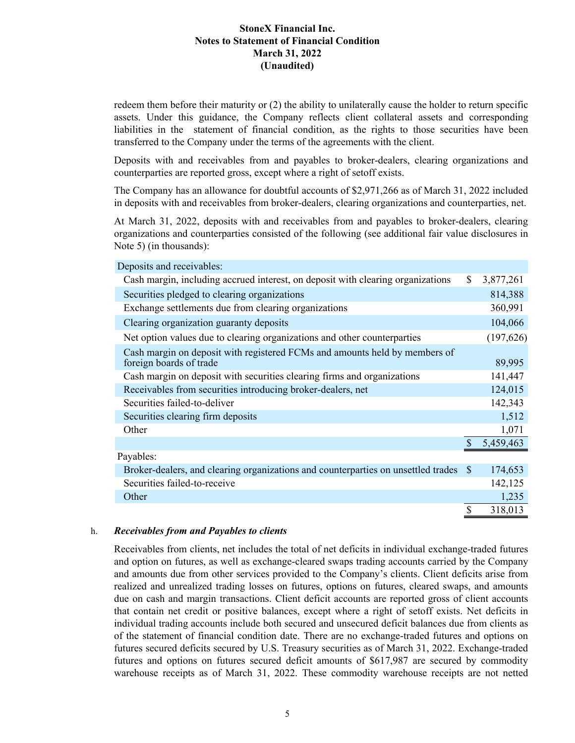redeem them before their maturity or (2) the ability to unilaterally cause the holder to return specific assets. Under this guidance, the Company reflects client collateral assets and corresponding liabilities in the statement of financial condition, as the rights to those securities have been transferred to the Company under the terms of the agreements with the client.

Deposits with and receivables from and payables to broker-dealers, clearing organizations and counterparties are reported gross, except where a right of setoff exists.

The Company has an allowance for doubtful accounts of \$2,971,266 as of March 31, 2022 included in deposits with and receivables from broker-dealers, clearing organizations and counterparties, net.

At March 31, 2022, deposits with and receivables from and payables to broker-dealers, clearing organizations and counterparties consisted of the following (see additional fair value disclosures in Note 5) (in thousands):

| Deposits and receivables:                                                                             |                 |
|-------------------------------------------------------------------------------------------------------|-----------------|
| Cash margin, including accrued interest, on deposit with clearing organizations                       | \$<br>3,877,261 |
| Securities pledged to clearing organizations                                                          | 814,388         |
| Exchange settlements due from clearing organizations                                                  | 360,991         |
| Clearing organization guaranty deposits                                                               | 104,066         |
| Net option values due to clearing organizations and other counterparties                              | (197, 626)      |
| Cash margin on deposit with registered FCMs and amounts held by members of<br>foreign boards of trade | 89,995          |
| Cash margin on deposit with securities clearing firms and organizations                               | 141,447         |
| Receivables from securities introducing broker-dealers, net                                           | 124,015         |
| Securities failed-to-deliver                                                                          | 142,343         |
| Securities clearing firm deposits                                                                     | 1,512           |
| Other                                                                                                 | 1,071           |
|                                                                                                       | 5,459,463       |
| Payables:                                                                                             |                 |
| Broker-dealers, and clearing organizations and counterparties on unsettled trades \$                  | 174,653         |
| Securities failed-to-receive                                                                          | 142,125         |
| Other                                                                                                 | 1,235           |
|                                                                                                       | \$<br>318,013   |

#### h. *Receivables from and Payables to clients*

Receivables from clients, net includes the total of net deficits in individual exchange-traded futures and option on futures, as well as exchange-cleared swaps trading accounts carried by the Company and amounts due from other services provided to the Company's clients. Client deficits arise from realized and unrealized trading losses on futures, options on futures, cleared swaps, and amounts due on cash and margin transactions. Client deficit accounts are reported gross of client accounts that contain net credit or positive balances, except where a right of setoff exists. Net deficits in individual trading accounts include both secured and unsecured deficit balances due from clients as of the statement of financial condition date. There are no exchange-traded futures and options on futures secured deficits secured by U.S. Treasury securities as of March 31, 2022. Exchange-traded futures and options on futures secured deficit amounts of \$617,987 are secured by commodity warehouse receipts as of March 31, 2022. These commodity warehouse receipts are not netted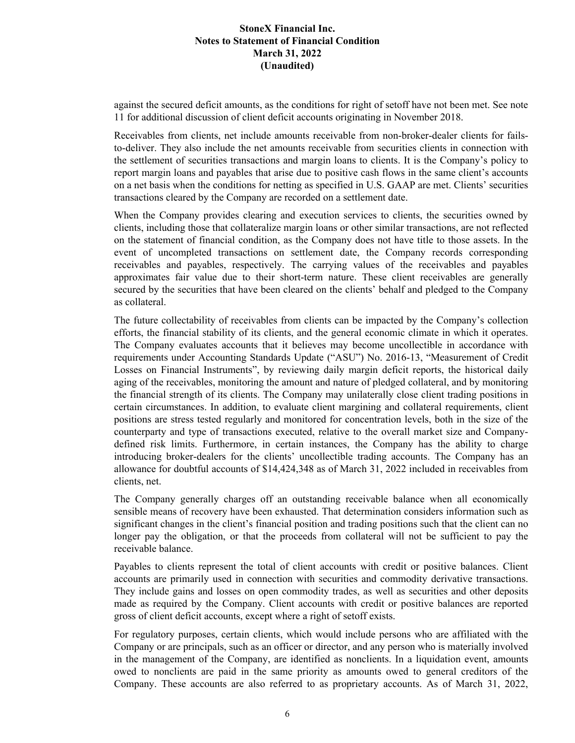against the secured deficit amounts, as the conditions for right of setoff have not been met. See note 11 for additional discussion of client deficit accounts originating in November 2018.

Receivables from clients, net include amounts receivable from non-broker-dealer clients for failsto-deliver. They also include the net amounts receivable from securities clients in connection with the settlement of securities transactions and margin loans to clients. It is the Company's policy to report margin loans and payables that arise due to positive cash flows in the same client's accounts on a net basis when the conditions for netting as specified in U.S. GAAP are met. Clients' securities transactions cleared by the Company are recorded on a settlement date.

When the Company provides clearing and execution services to clients, the securities owned by clients, including those that collateralize margin loans or other similar transactions, are not reflected on the statement of financial condition, as the Company does not have title to those assets. In the event of uncompleted transactions on settlement date, the Company records corresponding receivables and payables, respectively. The carrying values of the receivables and payables approximates fair value due to their short-term nature. These client receivables are generally secured by the securities that have been cleared on the clients' behalf and pledged to the Company as collateral.

The future collectability of receivables from clients can be impacted by the Company's collection efforts, the financial stability of its clients, and the general economic climate in which it operates. The Company evaluates accounts that it believes may become uncollectible in accordance with requirements under Accounting Standards Update ("ASU") No. 2016-13, "Measurement of Credit Losses on Financial Instruments", by reviewing daily margin deficit reports, the historical daily aging of the receivables, monitoring the amount and nature of pledged collateral, and by monitoring the financial strength of its clients. The Company may unilaterally close client trading positions in certain circumstances. In addition, to evaluate client margining and collateral requirements, client positions are stress tested regularly and monitored for concentration levels, both in the size of the counterparty and type of transactions executed, relative to the overall market size and Companydefined risk limits. Furthermore, in certain instances, the Company has the ability to charge introducing broker-dealers for the clients' uncollectible trading accounts. The Company has an allowance for doubtful accounts of \$14,424,348 as of March 31, 2022 included in receivables from clients, net.

The Company generally charges off an outstanding receivable balance when all economically sensible means of recovery have been exhausted. That determination considers information such as significant changes in the client's financial position and trading positions such that the client can no longer pay the obligation, or that the proceeds from collateral will not be sufficient to pay the receivable balance.

Payables to clients represent the total of client accounts with credit or positive balances. Client accounts are primarily used in connection with securities and commodity derivative transactions. They include gains and losses on open commodity trades, as well as securities and other deposits made as required by the Company. Client accounts with credit or positive balances are reported gross of client deficit accounts, except where a right of setoff exists.

For regulatory purposes, certain clients, which would include persons who are affiliated with the Company or are principals, such as an officer or director, and any person who is materially involved in the management of the Company, are identified as nonclients. In a liquidation event, amounts owed to nonclients are paid in the same priority as amounts owed to general creditors of the Company. These accounts are also referred to as proprietary accounts. As of March 31, 2022,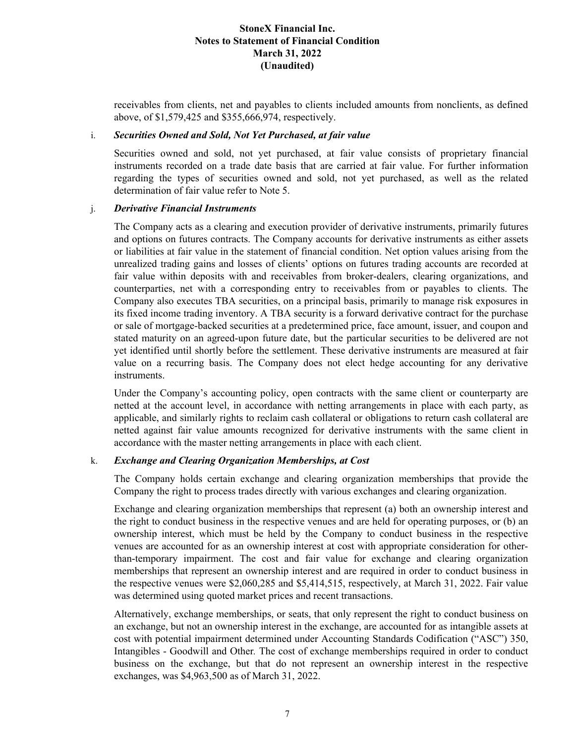receivables from clients, net and payables to clients included amounts from nonclients, as defined above, of \$1,579,425 and \$355,666,974, respectively.

#### i. *Securities Owned and Sold, Not Yet Purchased, at fair value*

Securities owned and sold, not yet purchased, at fair value consists of proprietary financial instruments recorded on a trade date basis that are carried at fair value. For further information regarding the types of securities owned and sold, not yet purchased, as well as the related determination of fair value refer to Note 5.

#### j. *Derivative Financial Instruments*

The Company acts as a clearing and execution provider of derivative instruments, primarily futures and options on futures contracts. The Company accounts for derivative instruments as either assets or liabilities at fair value in the statement of financial condition. Net option values arising from the unrealized trading gains and losses of clients' options on futures trading accounts are recorded at fair value within deposits with and receivables from broker-dealers, clearing organizations, and counterparties, net with a corresponding entry to receivables from or payables to clients. The Company also executes TBA securities, on a principal basis, primarily to manage risk exposures in its fixed income trading inventory. A TBA security is a forward derivative contract for the purchase or sale of mortgage-backed securities at a predetermined price, face amount, issuer, and coupon and stated maturity on an agreed-upon future date, but the particular securities to be delivered are not yet identified until shortly before the settlement. These derivative instruments are measured at fair value on a recurring basis. The Company does not elect hedge accounting for any derivative instruments.

Under the Company's accounting policy, open contracts with the same client or counterparty are netted at the account level, in accordance with netting arrangements in place with each party, as applicable, and similarly rights to reclaim cash collateral or obligations to return cash collateral are netted against fair value amounts recognized for derivative instruments with the same client in accordance with the master netting arrangements in place with each client.

### k. *Exchange and Clearing Organization Memberships, at Cost*

The Company holds certain exchange and clearing organization memberships that provide the Company the right to process trades directly with various exchanges and clearing organization.

Exchange and clearing organization memberships that represent (a) both an ownership interest and the right to conduct business in the respective venues and are held for operating purposes, or (b) an ownership interest, which must be held by the Company to conduct business in the respective venues are accounted for as an ownership interest at cost with appropriate consideration for otherthan-temporary impairment. The cost and fair value for exchange and clearing organization memberships that represent an ownership interest and are required in order to conduct business in the respective venues were \$2,060,285 and \$5,414,515, respectively, at March 31, 2022. Fair value was determined using quoted market prices and recent transactions.

Alternatively, exchange memberships, or seats, that only represent the right to conduct business on an exchange, but not an ownership interest in the exchange, are accounted for as intangible assets at cost with potential impairment determined under Accounting Standards Codification ("ASC") 350, Intangibles - Goodwill and Other*.* The cost of exchange memberships required in order to conduct business on the exchange, but that do not represent an ownership interest in the respective exchanges, was \$4,963,500 as of March 31, 2022.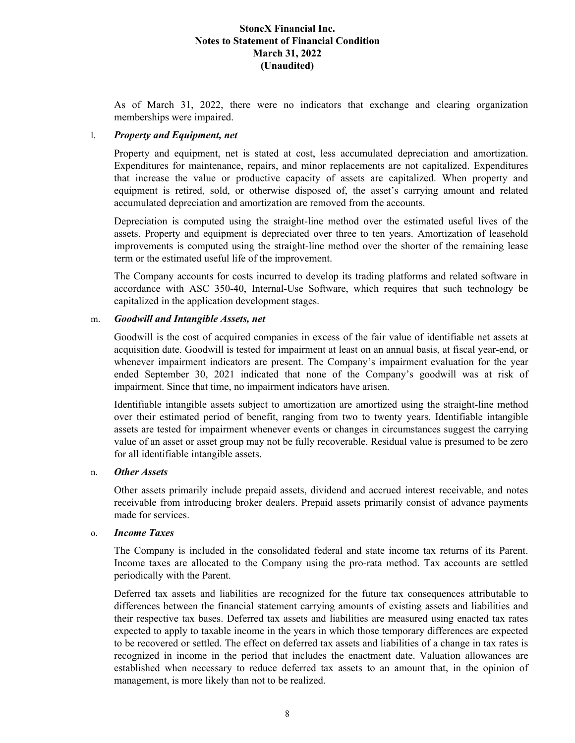As of March 31, 2022, there were no indicators that exchange and clearing organization memberships were impaired.

### l. *Property and Equipment, net*

Property and equipment, net is stated at cost, less accumulated depreciation and amortization. Expenditures for maintenance, repairs, and minor replacements are not capitalized. Expenditures that increase the value or productive capacity of assets are capitalized. When property and equipment is retired, sold, or otherwise disposed of, the asset's carrying amount and related accumulated depreciation and amortization are removed from the accounts.

Depreciation is computed using the straight-line method over the estimated useful lives of the assets. Property and equipment is depreciated over three to ten years. Amortization of leasehold improvements is computed using the straight-line method over the shorter of the remaining lease term or the estimated useful life of the improvement.

The Company accounts for costs incurred to develop its trading platforms and related software in accordance with ASC 350-40, Internal-Use Software, which requires that such technology be capitalized in the application development stages.

### m. *Goodwill and Intangible Assets, net*

Goodwill is the cost of acquired companies in excess of the fair value of identifiable net assets at acquisition date. Goodwill is tested for impairment at least on an annual basis, at fiscal year-end, or whenever impairment indicators are present. The Company's impairment evaluation for the year ended September 30, 2021 indicated that none of the Company's goodwill was at risk of impairment. Since that time, no impairment indicators have arisen.

Identifiable intangible assets subject to amortization are amortized using the straight-line method over their estimated period of benefit, ranging from two to twenty years. Identifiable intangible assets are tested for impairment whenever events or changes in circumstances suggest the carrying value of an asset or asset group may not be fully recoverable. Residual value is presumed to be zero for all identifiable intangible assets.

### n. *Other Assets*

Other assets primarily include prepaid assets, dividend and accrued interest receivable, and notes receivable from introducing broker dealers. Prepaid assets primarily consist of advance payments made for services.

### o. *Income Taxes*

The Company is included in the consolidated federal and state income tax returns of its Parent. Income taxes are allocated to the Company using the pro-rata method. Tax accounts are settled periodically with the Parent.

Deferred tax assets and liabilities are recognized for the future tax consequences attributable to differences between the financial statement carrying amounts of existing assets and liabilities and their respective tax bases. Deferred tax assets and liabilities are measured using enacted tax rates expected to apply to taxable income in the years in which those temporary differences are expected to be recovered or settled. The effect on deferred tax assets and liabilities of a change in tax rates is recognized in income in the period that includes the enactment date. Valuation allowances are established when necessary to reduce deferred tax assets to an amount that, in the opinion of management, is more likely than not to be realized.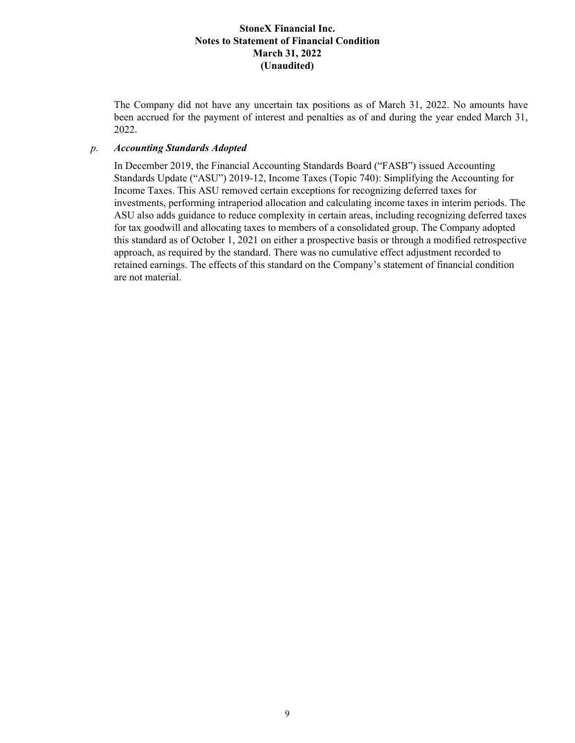The Company did not have any uncertain tax positions as of March 31, 2022. No amounts have been accrued for the payment of interest and penalties as of and during the year ended March 31, 2022.

#### *p. Accounting Standards Adopted*

In December 2019, the Financial Accounting Standards Board ("FASB") issued Accounting Standards Update ("ASU") 2019-12, Income Taxes (Topic 740): Simplifying the Accounting for Income Taxes. This ASU removed certain exceptions for recognizing deferred taxes for investments, performing intraperiod allocation and calculating income taxes in interim periods. The ASU also adds guidance to reduce complexity in certain areas, including recognizing deferred taxes for tax goodwill and allocating taxes to members of a consolidated group. The Company adopted this standard as of October 1, 2021 on either a prospective basis or through a modified retrospective approach, as required by the standard. There was no cumulative effect adjustment recorded to retained earnings. The effects of this standard on the Company's statement of financial condition are not material.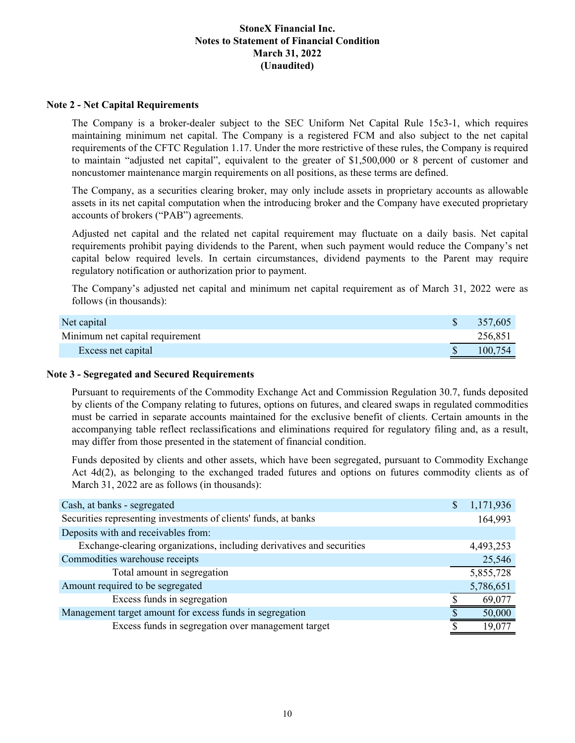#### **Note 2 - Net Capital Requirements**

The Company is a broker-dealer subject to the SEC Uniform Net Capital Rule 15c3-1, which requires maintaining minimum net capital. The Company is a registered FCM and also subject to the net capital requirements of the CFTC Regulation 1.17. Under the more restrictive of these rules, the Company is required to maintain "adjusted net capital", equivalent to the greater of \$1,500,000 or 8 percent of customer and noncustomer maintenance margin requirements on all positions, as these terms are defined.

The Company, as a securities clearing broker, may only include assets in proprietary accounts as allowable assets in its net capital computation when the introducing broker and the Company have executed proprietary accounts of brokers ("PAB") agreements.

Adjusted net capital and the related net capital requirement may fluctuate on a daily basis. Net capital requirements prohibit paying dividends to the Parent, when such payment would reduce the Company's net capital below required levels. In certain circumstances, dividend payments to the Parent may require regulatory notification or authorization prior to payment.

The Company's adjusted net capital and minimum net capital requirement as of March 31, 2022 were as follows (in thousands):

| Net capital                     | 357,605 |
|---------------------------------|---------|
| Minimum net capital requirement | 256.851 |
| Excess net capital              | 100,754 |

#### **Note 3 - Segregated and Secured Requirements**

Pursuant to requirements of the Commodity Exchange Act and Commission Regulation 30.7, funds deposited by clients of the Company relating to futures, options on futures, and cleared swaps in regulated commodities must be carried in separate accounts maintained for the exclusive benefit of clients. Certain amounts in the accompanying table reflect reclassifications and eliminations required for regulatory filing and, as a result, may differ from those presented in the statement of financial condition.

Funds deposited by clients and other assets, which have been segregated, pursuant to Commodity Exchange Act 4d(2), as belonging to the exchanged traded futures and options on futures commodity clients as of March 31, 2022 are as follows (in thousands):

| Cash, at banks - segregated                                           | \$<br>1,171,936 |
|-----------------------------------------------------------------------|-----------------|
| Securities representing investments of clients' funds, at banks       | 164,993         |
| Deposits with and receivables from:                                   |                 |
| Exchange-clearing organizations, including derivatives and securities | 4,493,253       |
| Commodities warehouse receipts                                        | 25,546          |
| Total amount in segregation                                           | 5,855,728       |
| Amount required to be segregated                                      | 5,786,651       |
| Excess funds in segregation                                           | 69,077          |
| Management target amount for excess funds in segregation              | 50,000          |
| Excess funds in segregation over management target                    | 19.077          |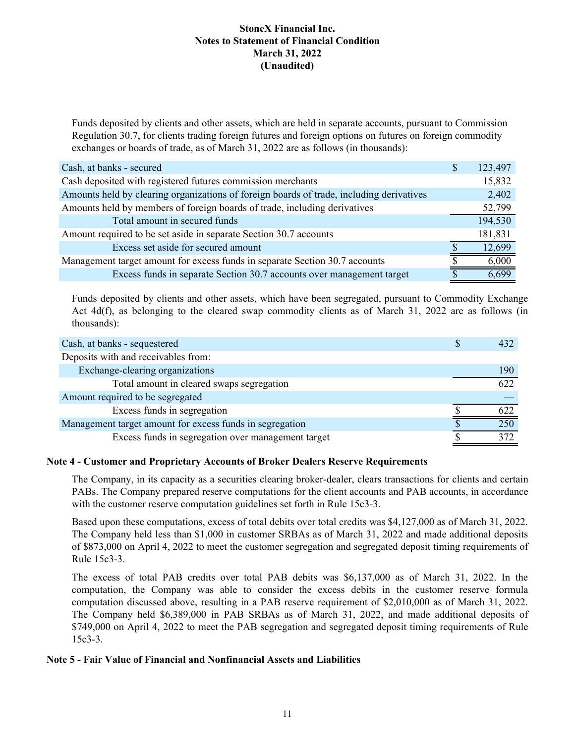Funds deposited by clients and other assets, which are held in separate accounts, pursuant to Commission Regulation 30.7, for clients trading foreign futures and foreign options on futures on foreign commodity exchanges or boards of trade, as of March 31, 2022 are as follows (in thousands):

| Cash, at banks - secured                                                                 | S | 123,497 |
|------------------------------------------------------------------------------------------|---|---------|
| Cash deposited with registered futures commission merchants                              |   | 15,832  |
| Amounts held by clearing organizations of foreign boards of trade, including derivatives |   | 2,402   |
| Amounts held by members of foreign boards of trade, including derivatives                |   | 52,799  |
| Total amount in secured funds                                                            |   | 194,530 |
| Amount required to be set aside in separate Section 30.7 accounts                        |   | 181,831 |
| Excess set aside for secured amount                                                      |   | 12,699  |
| Management target amount for excess funds in separate Section 30.7 accounts              |   | 6,000   |
| Excess funds in separate Section 30.7 accounts over management target                    |   | 6,699   |

Funds deposited by clients and other assets, which have been segregated, pursuant to Commodity Exchange Act 4d(f), as belonging to the cleared swap commodity clients as of March 31, 2022 are as follows (in thousands):

| Cash, at banks - sequestered                             | 432 |
|----------------------------------------------------------|-----|
| Deposits with and receivables from:                      |     |
| Exchange-clearing organizations                          | 190 |
| Total amount in cleared swaps segregation                | 622 |
| Amount required to be segregated                         |     |
| Excess funds in segregation                              | 622 |
| Management target amount for excess funds in segregation | 250 |
| Excess funds in segregation over management target       | 372 |

### **Note 4 - Customer and Proprietary Accounts of Broker Dealers Reserve Requirements**

The Company, in its capacity as a securities clearing broker-dealer, clears transactions for clients and certain PABs. The Company prepared reserve computations for the client accounts and PAB accounts, in accordance with the customer reserve computation guidelines set forth in Rule 15c3-3.

Based upon these computations, excess of total debits over total credits was \$4,127,000 as of March 31, 2022. The Company held less than \$1,000 in customer SRBAs as of March 31, 2022 and made additional deposits of \$873,000 on April 4, 2022 to meet the customer segregation and segregated deposit timing requirements of Rule 15c3-3.

The excess of total PAB credits over total PAB debits was \$6,137,000 as of March 31, 2022. In the computation, the Company was able to consider the excess debits in the customer reserve formula computation discussed above, resulting in a PAB reserve requirement of \$2,010,000 as of March 31, 2022. The Company held \$6,389,000 in PAB SRBAs as of March 31, 2022, and made additional deposits of \$749,000 on April 4, 2022 to meet the PAB segregation and segregated deposit timing requirements of Rule 15c3-3.

### **Note 5 - Fair Value of Financial and Nonfinancial Assets and Liabilities**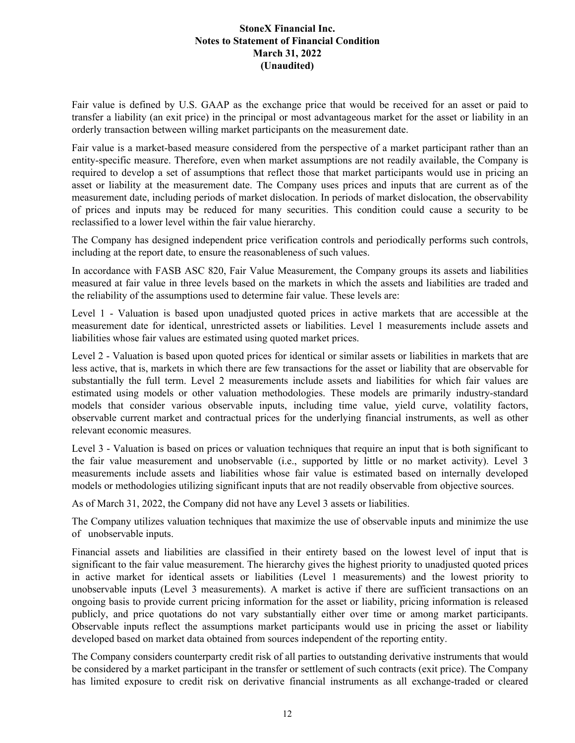Fair value is defined by U.S. GAAP as the exchange price that would be received for an asset or paid to transfer a liability (an exit price) in the principal or most advantageous market for the asset or liability in an orderly transaction between willing market participants on the measurement date.

Fair value is a market-based measure considered from the perspective of a market participant rather than an entity-specific measure. Therefore, even when market assumptions are not readily available, the Company is required to develop a set of assumptions that reflect those that market participants would use in pricing an asset or liability at the measurement date. The Company uses prices and inputs that are current as of the measurement date, including periods of market dislocation. In periods of market dislocation, the observability of prices and inputs may be reduced for many securities. This condition could cause a security to be reclassified to a lower level within the fair value hierarchy.

The Company has designed independent price verification controls and periodically performs such controls, including at the report date, to ensure the reasonableness of such values.

In accordance with FASB ASC 820, Fair Value Measurement, the Company groups its assets and liabilities measured at fair value in three levels based on the markets in which the assets and liabilities are traded and the reliability of the assumptions used to determine fair value. These levels are:

Level 1 - Valuation is based upon unadjusted quoted prices in active markets that are accessible at the measurement date for identical, unrestricted assets or liabilities. Level 1 measurements include assets and liabilities whose fair values are estimated using quoted market prices.

Level 2 - Valuation is based upon quoted prices for identical or similar assets or liabilities in markets that are less active, that is, markets in which there are few transactions for the asset or liability that are observable for substantially the full term. Level 2 measurements include assets and liabilities for which fair values are estimated using models or other valuation methodologies. These models are primarily industry-standard models that consider various observable inputs, including time value, yield curve, volatility factors, observable current market and contractual prices for the underlying financial instruments, as well as other relevant economic measures.

Level 3 - Valuation is based on prices or valuation techniques that require an input that is both significant to the fair value measurement and unobservable (i.e., supported by little or no market activity). Level 3 measurements include assets and liabilities whose fair value is estimated based on internally developed models or methodologies utilizing significant inputs that are not readily observable from objective sources.

As of March 31, 2022, the Company did not have any Level 3 assets or liabilities.

The Company utilizes valuation techniques that maximize the use of observable inputs and minimize the use of unobservable inputs.

Financial assets and liabilities are classified in their entirety based on the lowest level of input that is significant to the fair value measurement. The hierarchy gives the highest priority to unadjusted quoted prices in active market for identical assets or liabilities (Level 1 measurements) and the lowest priority to unobservable inputs (Level 3 measurements). A market is active if there are sufficient transactions on an ongoing basis to provide current pricing information for the asset or liability, pricing information is released publicly, and price quotations do not vary substantially either over time or among market participants. Observable inputs reflect the assumptions market participants would use in pricing the asset or liability developed based on market data obtained from sources independent of the reporting entity.

The Company considers counterparty credit risk of all parties to outstanding derivative instruments that would be considered by a market participant in the transfer or settlement of such contracts (exit price). The Company has limited exposure to credit risk on derivative financial instruments as all exchange-traded or cleared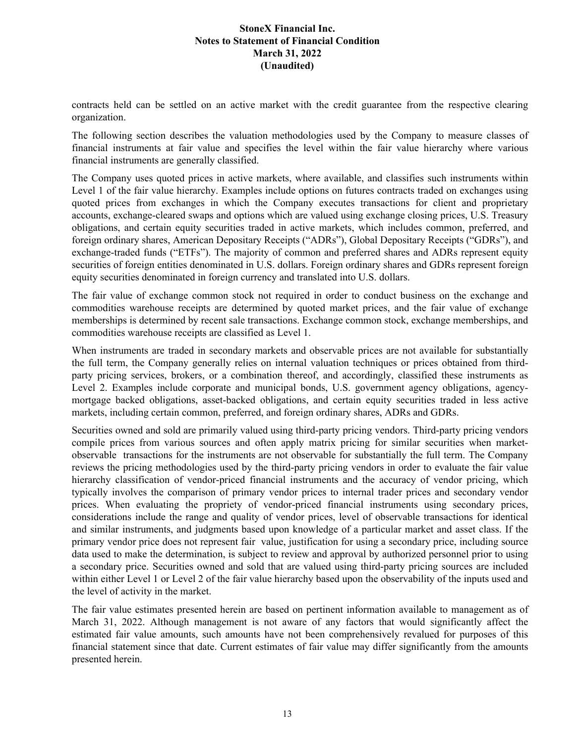contracts held can be settled on an active market with the credit guarantee from the respective clearing organization.

The following section describes the valuation methodologies used by the Company to measure classes of financial instruments at fair value and specifies the level within the fair value hierarchy where various financial instruments are generally classified.

The Company uses quoted prices in active markets, where available, and classifies such instruments within Level 1 of the fair value hierarchy. Examples include options on futures contracts traded on exchanges using quoted prices from exchanges in which the Company executes transactions for client and proprietary accounts, exchange-cleared swaps and options which are valued using exchange closing prices, U.S. Treasury obligations, and certain equity securities traded in active markets, which includes common, preferred, and foreign ordinary shares, American Depositary Receipts ("ADRs"), Global Depositary Receipts ("GDRs"), and exchange-traded funds ("ETFs"). The majority of common and preferred shares and ADRs represent equity securities of foreign entities denominated in U.S. dollars. Foreign ordinary shares and GDRs represent foreign equity securities denominated in foreign currency and translated into U.S. dollars.

The fair value of exchange common stock not required in order to conduct business on the exchange and commodities warehouse receipts are determined by quoted market prices, and the fair value of exchange memberships is determined by recent sale transactions. Exchange common stock, exchange memberships, and commodities warehouse receipts are classified as Level 1.

When instruments are traded in secondary markets and observable prices are not available for substantially the full term, the Company generally relies on internal valuation techniques or prices obtained from thirdparty pricing services, brokers, or a combination thereof, and accordingly, classified these instruments as Level 2. Examples include corporate and municipal bonds, U.S. government agency obligations, agencymortgage backed obligations, asset-backed obligations, and certain equity securities traded in less active markets, including certain common, preferred, and foreign ordinary shares, ADRs and GDRs.

Securities owned and sold are primarily valued using third-party pricing vendors. Third-party pricing vendors compile prices from various sources and often apply matrix pricing for similar securities when marketobservable transactions for the instruments are not observable for substantially the full term. The Company reviews the pricing methodologies used by the third-party pricing vendors in order to evaluate the fair value hierarchy classification of vendor-priced financial instruments and the accuracy of vendor pricing, which typically involves the comparison of primary vendor prices to internal trader prices and secondary vendor prices. When evaluating the propriety of vendor-priced financial instruments using secondary prices, considerations include the range and quality of vendor prices, level of observable transactions for identical and similar instruments, and judgments based upon knowledge of a particular market and asset class. If the primary vendor price does not represent fair value, justification for using a secondary price, including source data used to make the determination, is subject to review and approval by authorized personnel prior to using a secondary price. Securities owned and sold that are valued using third-party pricing sources are included within either Level 1 or Level 2 of the fair value hierarchy based upon the observability of the inputs used and the level of activity in the market.

The fair value estimates presented herein are based on pertinent information available to management as of March 31, 2022. Although management is not aware of any factors that would significantly affect the estimated fair value amounts, such amounts have not been comprehensively revalued for purposes of this financial statement since that date. Current estimates of fair value may differ significantly from the amounts presented herein.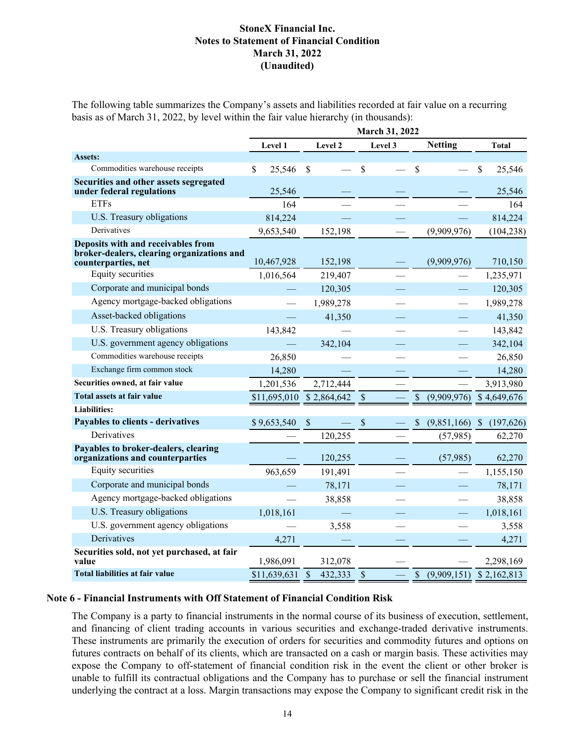The following table summarizes the Company's assets and liabilities recorded at fair value on a recurring basis as of March 31, 2022, by level within the fair value hierarchy (in thousands):

|                                                                                                         | March 31, 2022 |               |               |                                   |                            |  |  |
|---------------------------------------------------------------------------------------------------------|----------------|---------------|---------------|-----------------------------------|----------------------------|--|--|
|                                                                                                         | Level 1        | Level 2       | Level 3       | <b>Netting</b>                    | <b>Total</b>               |  |  |
| Assets:                                                                                                 |                |               |               |                                   |                            |  |  |
| Commodities warehouse receipts                                                                          | \$<br>25,546   | \$            | \$            | <sup>\$</sup>                     | \$<br>25,546               |  |  |
| Securities and other assets segregated<br>under federal regulations                                     | 25,546         |               |               |                                   | 25,546                     |  |  |
| <b>ETFs</b>                                                                                             | 164            |               |               |                                   | 164                        |  |  |
| U.S. Treasury obligations                                                                               | 814,224        |               |               |                                   | 814,224                    |  |  |
| Derivatives                                                                                             | 9,653,540      | 152,198       |               | (9,909,976)                       | (104, 238)                 |  |  |
| Deposits with and receivables from<br>broker-dealers, clearing organizations and<br>counterparties, net | 10,467,928     | 152,198       |               | (9,909,976)                       | 710,150                    |  |  |
| Equity securities                                                                                       | 1,016,564      | 219,407       |               |                                   | 1,235,971                  |  |  |
| Corporate and municipal bonds                                                                           |                | 120,305       |               |                                   | 120,305                    |  |  |
| Agency mortgage-backed obligations                                                                      |                | 1,989,278     |               |                                   | 1,989,278                  |  |  |
| Asset-backed obligations                                                                                |                | 41,350        |               |                                   | 41,350                     |  |  |
| U.S. Treasury obligations                                                                               | 143,842        |               |               |                                   | 143,842                    |  |  |
| U.S. government agency obligations                                                                      |                | 342,104       |               |                                   | 342,104                    |  |  |
| Commodities warehouse receipts                                                                          | 26,850         |               |               |                                   | 26,850                     |  |  |
| Exchange firm common stock                                                                              | 14,280         |               |               |                                   | 14,280                     |  |  |
| Securities owned, at fair value                                                                         | 1,201,536      | 2,712,444     |               |                                   | 3,913,980                  |  |  |
| Total assets at fair value                                                                              | \$11,695,010   | \$2,864,642   | \$            | (9,909,976)                       | \$4,649,676                |  |  |
| <b>Liabilities:</b>                                                                                     |                |               |               |                                   |                            |  |  |
| Payables to clients - derivatives                                                                       | \$9,653,540    | \$            | $\mathcal{S}$ | (9,851,166)<br>S                  | $\mathcal{S}$<br>(197,626) |  |  |
| Derivatives                                                                                             |                | 120,255       |               | (57, 985)                         | 62,270                     |  |  |
| Payables to broker-dealers, clearing<br>organizations and counterparties                                |                | 120,255       |               | (57,985)                          | 62,270                     |  |  |
| Equity securities                                                                                       | 963,659        | 191,491       |               |                                   | 1,155,150                  |  |  |
| Corporate and municipal bonds                                                                           |                | 78,171        |               |                                   | 78,171                     |  |  |
| Agency mortgage-backed obligations                                                                      |                | 38,858        |               |                                   | 38,858                     |  |  |
| U.S. Treasury obligations                                                                               | 1,018,161      |               |               |                                   | 1,018,161                  |  |  |
| U.S. government agency obligations                                                                      |                | 3,558         |               |                                   | 3,558                      |  |  |
| Derivatives                                                                                             | 4,271          |               |               |                                   | 4,271                      |  |  |
| Securities sold, not yet purchased, at fair<br>value                                                    | 1,986,091      | 312,078       |               |                                   | 2,298,169                  |  |  |
| Total liabilities at fair value                                                                         | \$11,639,631   | \$<br>432,333 | \$            | $\mathbf{\hat{S}}$<br>(9,909,151) | \$2,162,813                |  |  |

#### **Note 6 - Financial Instruments with Off Statement of Financial Condition Risk**

The Company is a party to financial instruments in the normal course of its business of execution, settlement, and financing of client trading accounts in various securities and exchange-traded derivative instruments. These instruments are primarily the execution of orders for securities and commodity futures and options on futures contracts on behalf of its clients, which are transacted on a cash or margin basis. These activities may expose the Company to off-statement of financial condition risk in the event the client or other broker is unable to fulfill its contractual obligations and the Company has to purchase or sell the financial instrument underlying the contract at a loss. Margin transactions may expose the Company to significant credit risk in the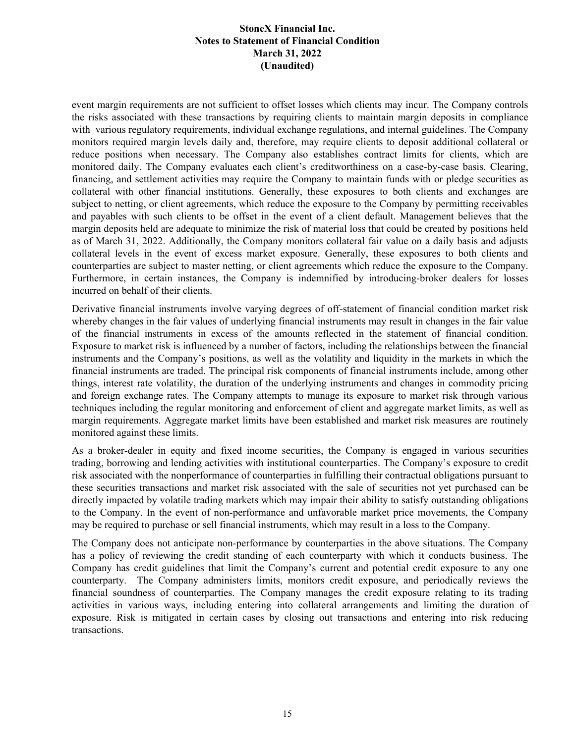event margin requirements are not sufficient to offset losses which clients may incur. The Company controls the risks associated with these transactions by requiring clients to maintain margin deposits in compliance with various regulatory requirements, individual exchange regulations, and internal guidelines. The Company monitors required margin levels daily and, therefore, may require clients to deposit additional collateral or reduce positions when necessary. The Company also establishes contract limits for clients, which are monitored daily. The Company evaluates each client's creditworthiness on a case-by-case basis. Clearing, financing, and settlement activities may require the Company to maintain funds with or pledge securities as collateral with other financial institutions. Generally, these exposures to both clients and exchanges are subject to netting, or client agreements, which reduce the exposure to the Company by permitting receivables and payables with such clients to be offset in the event of a client default. Management believes that the margin deposits held are adequate to minimize the risk of material loss that could be created by positions held as of March 31, 2022. Additionally, the Company monitors collateral fair value on a daily basis and adjusts collateral levels in the event of excess market exposure. Generally, these exposures to both clients and counterparties are subject to master netting, or client agreements which reduce the exposure to the Company. Furthermore, in certain instances, the Company is indemnified by introducing-broker dealers for losses incurred on behalf of their clients.

Derivative financial instruments involve varying degrees of off-statement of financial condition market risk whereby changes in the fair values of underlying financial instruments may result in changes in the fair value of the financial instruments in excess of the amounts reflected in the statement of financial condition. Exposure to market risk is influenced by a number of factors, including the relationships between the financial instruments and the Company's positions, as well as the volatility and liquidity in the markets in which the financial instruments are traded. The principal risk components of financial instruments include, among other things, interest rate volatility, the duration of the underlying instruments and changes in commodity pricing and foreign exchange rates. The Company attempts to manage its exposure to market risk through various techniques including the regular monitoring and enforcement of client and aggregate market limits, as well as margin requirements. Aggregate market limits have been established and market risk measures are routinely monitored against these limits.

As a broker-dealer in equity and fixed income securities, the Company is engaged in various securities trading, borrowing and lending activities with institutional counterparties. The Company's exposure to credit risk associated with the nonperformance of counterparties in fulfilling their contractual obligations pursuant to these securities transactions and market risk associated with the sale of securities not yet purchased can be directly impacted by volatile trading markets which may impair their ability to satisfy outstanding obligations to the Company. In the event of non-performance and unfavorable market price movements, the Company may be required to purchase or sell financial instruments, which may result in a loss to the Company.

The Company does not anticipate non-performance by counterparties in the above situations. The Company has a policy of reviewing the credit standing of each counterparty with which it conducts business. The Company has credit guidelines that limit the Company's current and potential credit exposure to any one counterparty. The Company administers limits, monitors credit exposure, and periodically reviews the financial soundness of counterparties. The Company manages the credit exposure relating to its trading activities in various ways, including entering into collateral arrangements and limiting the duration of exposure. Risk is mitigated in certain cases by closing out transactions and entering into risk reducing transactions.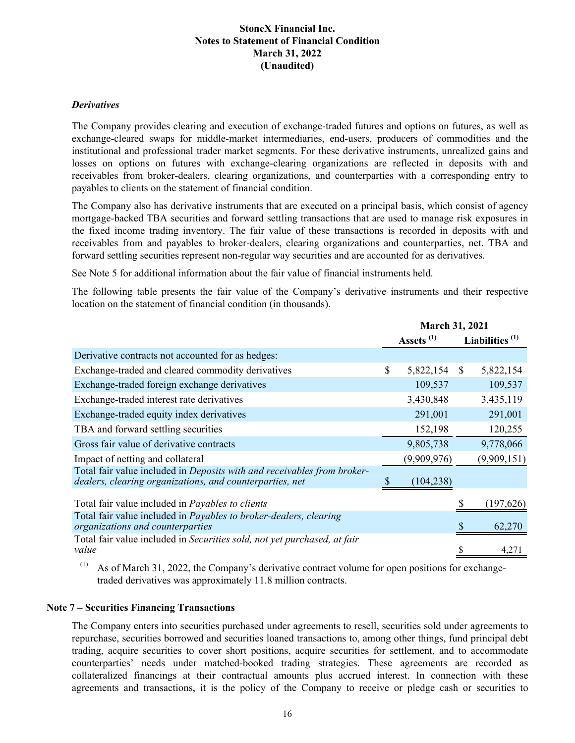#### *Derivatives*

The Company provides clearing and execution of exchange-traded futures and options on futures, as well as exchange-cleared swaps for middle-market intermediaries, end-users, producers of commodities and the institutional and professional trader market segments. For these derivative instruments, unrealized gains and losses on options on futures with exchange-clearing organizations are reflected in deposits with and receivables from broker-dealers, clearing organizations, and counterparties with a corresponding entry to payables to clients on the statement of financial condition.

The Company also has derivative instruments that are executed on a principal basis, which consist of agency mortgage-backed TBA securities and forward settling transactions that are used to manage risk exposures in the fixed income trading inventory. The fair value of these transactions is recorded in deposits with and receivables from and payables to broker-dealers, clearing organizations and counterparties, net. TBA and forward settling securities represent non-regular way securities and are accounted for as derivatives.

See Note 5 for additional information about the fair value of financial instruments held.

The following table presents the fair value of the Company's derivative instruments and their respective location on the statement of financial condition (in thousands).

|                                                                                                                                     | <b>March 31, 2021</b> |               |                   |
|-------------------------------------------------------------------------------------------------------------------------------------|-----------------------|---------------|-------------------|
|                                                                                                                                     | Assets <sup>(1)</sup> |               | Liabilities $(1)$ |
| Derivative contracts not accounted for as hedges:                                                                                   |                       |               |                   |
| Exchange-traded and cleared commodity derivatives                                                                                   | \$<br>5,822,154       | <sup>\$</sup> | 5,822,154         |
| Exchange-traded foreign exchange derivatives                                                                                        | 109,537               |               | 109,537           |
| Exchange-traded interest rate derivatives                                                                                           | 3,430,848             |               | 3,435,119         |
| Exchange-traded equity index derivatives                                                                                            | 291,001               |               | 291,001           |
| TBA and forward settling securities                                                                                                 | 152,198               |               | 120,255           |
| Gross fair value of derivative contracts                                                                                            | 9,805,738             |               | 9,778,066         |
| Impact of netting and collateral                                                                                                    | (9,909,976)           |               | (9,909,151)       |
| Total fair value included in Deposits with and receivables from broker-<br>dealers, clearing organizations, and counterparties, net | (104, 238)            |               |                   |
| Total fair value included in Payables to clients                                                                                    |                       |               | (197, 626)        |
| Total fair value included in <i>Payables to broker-dealers</i> , <i>clearing</i><br>organizations and counterparties                |                       |               | 62,270            |
| Total fair value included in Securities sold, not yet purchased, at fair<br>value                                                   |                       |               | 4,271             |

As of March 31, 2022, the Company's derivative contract volume for open positions for exchangetraded derivatives was approximately 11.8 million contracts.

#### **Note 7 – Securities Financing Transactions**

The Company enters into securities purchased under agreements to resell, securities sold under agreements to repurchase, securities borrowed and securities loaned transactions to, among other things, fund principal debt trading, acquire securities to cover short positions, acquire securities for settlement, and to accommodate counterparties' needs under matched-booked trading strategies. These agreements are recorded as collateralized financings at their contractual amounts plus accrued interest. In connection with these agreements and transactions, it is the policy of the Company to receive or pledge cash or securities to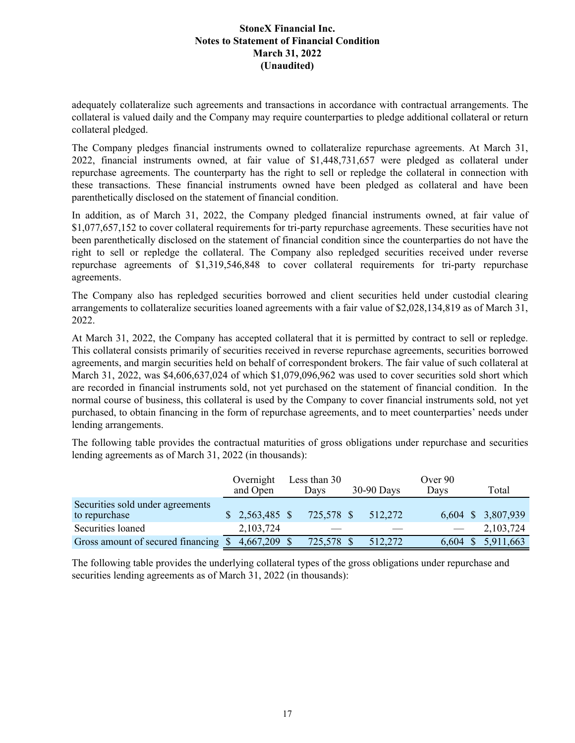adequately collateralize such agreements and transactions in accordance with contractual arrangements. The collateral is valued daily and the Company may require counterparties to pledge additional collateral or return collateral pledged.

The Company pledges financial instruments owned to collateralize repurchase agreements. At March 31, 2022, financial instruments owned, at fair value of \$1,448,731,657 were pledged as collateral under repurchase agreements. The counterparty has the right to sell or repledge the collateral in connection with these transactions. These financial instruments owned have been pledged as collateral and have been parenthetically disclosed on the statement of financial condition.

In addition, as of March 31, 2022, the Company pledged financial instruments owned, at fair value of \$1,077,657,152 to cover collateral requirements for tri-party repurchase agreements. These securities have not been parenthetically disclosed on the statement of financial condition since the counterparties do not have the right to sell or repledge the collateral. The Company also repledged securities received under reverse repurchase agreements of \$1,319,546,848 to cover collateral requirements for tri-party repurchase agreements.

The Company also has repledged securities borrowed and client securities held under custodial clearing arrangements to collateralize securities loaned agreements with a fair value of \$2,028,134,819 as of March 31, 2022.

At March 31, 2022, the Company has accepted collateral that it is permitted by contract to sell or repledge. This collateral consists primarily of securities received in reverse repurchase agreements, securities borrowed agreements, and margin securities held on behalf of correspondent brokers. The fair value of such collateral at March 31, 2022, was \$4,606,637,024 of which \$1,079,096,962 was used to cover securities sold short which are recorded in financial instruments sold, not yet purchased on the statement of financial condition. In the normal course of business, this collateral is used by the Company to cover financial instruments sold, not yet purchased, to obtain financing in the form of repurchase agreements, and to meet counterparties' needs under lending arrangements.

The following table provides the contractual maturities of gross obligations under repurchase and securities lending agreements as of March 31, 2022 (in thousands):

|                                                   | Overnight<br>and Open | Less than 30<br>Davs | $30-90$ Days | Over 90<br>Days | Total              |
|---------------------------------------------------|-----------------------|----------------------|--------------|-----------------|--------------------|
| Securities sold under agreements<br>to repurchase | \$2,563,485           | 725,578 \$           | 512,272      |                 | 6,604 \$ 3,807,939 |
| Securities loaned                                 | 2,103,724             |                      |              |                 | 2,103,724          |
| Gross amount of secured financing \$              | 4,667,209 \$          | 725,578 \$           | 512,272      | $6,604$ \$      | 5,911,663          |

The following table provides the underlying collateral types of the gross obligations under repurchase and securities lending agreements as of March 31, 2022 (in thousands):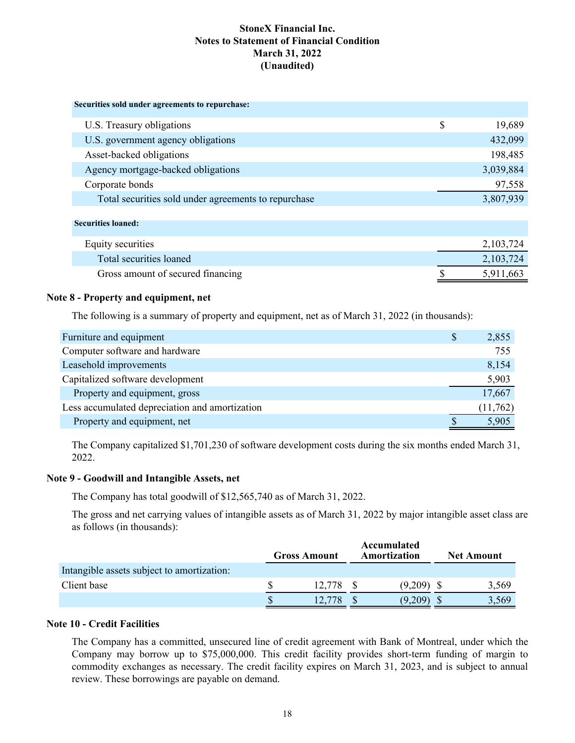| Securities sold under agreements to repurchase:      |              |
|------------------------------------------------------|--------------|
| U.S. Treasury obligations                            | \$<br>19,689 |
| U.S. government agency obligations                   | 432,099      |
| Asset-backed obligations                             | 198,485      |
| Agency mortgage-backed obligations                   | 3,039,884    |
| Corporate bonds                                      | 97,558       |
| Total securities sold under agreements to repurchase | 3,807,939    |
| <b>Securities loaned:</b>                            |              |
| Equity securities                                    | 2,103,724    |
| Total securities loaned                              | 2,103,724    |
| Gross amount of secured financing                    | 5,911,663    |

#### **Note 8 - Property and equipment, net**

The following is a summary of property and equipment, net as of March 31, 2022 (in thousands):

| Furniture and equipment                        | \$<br>2,855 |
|------------------------------------------------|-------------|
| Computer software and hardware                 | 755         |
| Leasehold improvements                         | 8,154       |
| Capitalized software development               | 5,903       |
| Property and equipment, gross                  | 17,667      |
| Less accumulated depreciation and amortization | (11,762)    |
| Property and equipment, net                    | 5,905       |

The Company capitalized \$1,701,230 of software development costs during the six months ended March 31, 2022.

#### **Note 9 - Goodwill and Intangible Assets, net**

The Company has total goodwill of \$12,565,740 as of March 31, 2022.

The gross and net carrying values of intangible assets as of March 31, 2022 by major intangible asset class are as follows (in thousands):

|                                            | <b>Gross Amount</b> |        | Accumulated<br>Amortization |         | <b>Net Amount</b> |       |
|--------------------------------------------|---------------------|--------|-----------------------------|---------|-------------------|-------|
| Intangible assets subject to amortization: |                     |        |                             |         |                   |       |
| Client base                                |                     | 12.778 |                             | (9,209) |                   | 3,569 |
|                                            |                     |        |                             | (9.209) |                   | 3,569 |

### **Note 10 - Credit Facilities**

The Company has a committed, unsecured line of credit agreement with Bank of Montreal, under which the Company may borrow up to \$75,000,000. This credit facility provides short-term funding of margin to commodity exchanges as necessary. The credit facility expires on March 31, 2023, and is subject to annual review. These borrowings are payable on demand.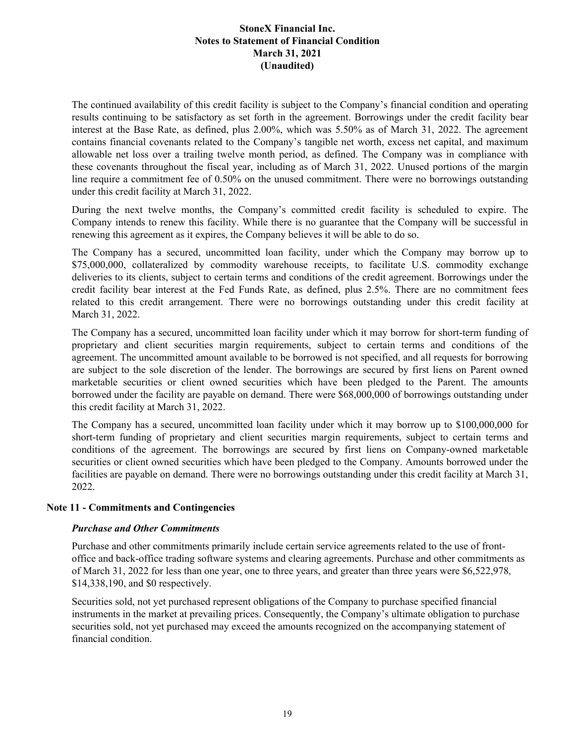The continued availability of this credit facility is subject to the Company's financial condition and operating results continuing to be satisfactory as set forth in the agreement. Borrowings under the credit facility bear interest at the Base Rate, as defined, plus 2.00%, which was 5.50% as of March 31, 2022. The agreement contains financial covenants related to the Company's tangible net worth, excess net capital, and maximum allowable net loss over a trailing twelve month period, as defined. The Company was in compliance with these covenants throughout the fiscal year, including as of March 31, 2022. Unused portions of the margin line require a commitment fee of 0.50% on the unused commitment. There were no borrowings outstanding under this credit facility at March 31, 2022.

During the next twelve months, the Company's committed credit facility is scheduled to expire. The Company intends to renew this facility. While there is no guarantee that the Company will be successful in renewing this agreement as it expires, the Company believes it will be able to do so.

The Company has a secured, uncommitted loan facility, under which the Company may borrow up to \$75,000,000, collateralized by commodity warehouse receipts, to facilitate U.S. commodity exchange deliveries to its clients, subject to certain terms and conditions of the credit agreement. Borrowings under the credit facility bear interest at the Fed Funds Rate, as defined, plus 2.5%. There are no commitment fees related to this credit arrangement. There were no borrowings outstanding under this credit facility at March 31, 2022.

The Company has a secured, uncommitted loan facility under which it may borrow for short-term funding of proprietary and client securities margin requirements, subject to certain terms and conditions of the agreement. The uncommitted amount available to be borrowed is not specified, and all requests for borrowing are subject to the sole discretion of the lender. The borrowings are secured by first liens on Parent owned marketable securities or client owned securities which have been pledged to the Parent. The amounts borrowed under the facility are payable on demand. There were \$68,000,000 of borrowings outstanding under this credit facility at March 31, 2022.

The Company has a secured, uncommitted loan facility under which it may borrow up to \$100,000,000 for short-term funding of proprietary and client securities margin requirements, subject to certain terms and conditions of the agreement. The borrowings are secured by first liens on Company-owned marketable securities or client owned securities which have been pledged to the Company. Amounts borrowed under the facilities are payable on demand. There were no borrowings outstanding under this credit facility at March 31, 2022.

### **Note 11 - Commitments and Contingencies**

### *Purchase and Other Commitments*

Purchase and other commitments primarily include certain service agreements related to the use of frontoffice and back-office trading software systems and clearing agreements. Purchase and other commitments as of March 31, 2022 for less than one year, one to three years, and greater than three years were \$6,522,978, \$14,338,190, and \$0 respectively.

Securities sold, not yet purchased represent obligations of the Company to purchase specified financial instruments in the market at prevailing prices. Consequently, the Company's ultimate obligation to purchase securities sold, not yet purchased may exceed the amounts recognized on the accompanying statement of financial condition.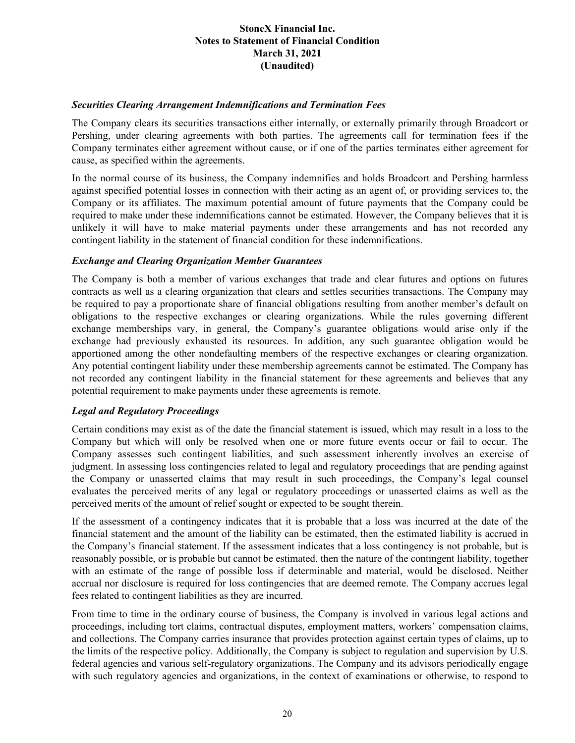#### *Securities Clearing Arrangement Indemnifications and Termination Fees*

The Company clears its securities transactions either internally, or externally primarily through Broadcort or Pershing, under clearing agreements with both parties. The agreements call for termination fees if the Company terminates either agreement without cause, or if one of the parties terminates either agreement for cause, as specified within the agreements.

In the normal course of its business, the Company indemnifies and holds Broadcort and Pershing harmless against specified potential losses in connection with their acting as an agent of, or providing services to, the Company or its affiliates. The maximum potential amount of future payments that the Company could be required to make under these indemnifications cannot be estimated. However, the Company believes that it is unlikely it will have to make material payments under these arrangements and has not recorded any contingent liability in the statement of financial condition for these indemnifications.

#### *Exchange and Clearing Organization Member Guarantees*

The Company is both a member of various exchanges that trade and clear futures and options on futures contracts as well as a clearing organization that clears and settles securities transactions. The Company may be required to pay a proportionate share of financial obligations resulting from another member's default on obligations to the respective exchanges or clearing organizations. While the rules governing different exchange memberships vary, in general, the Company's guarantee obligations would arise only if the exchange had previously exhausted its resources. In addition, any such guarantee obligation would be apportioned among the other nondefaulting members of the respective exchanges or clearing organization. Any potential contingent liability under these membership agreements cannot be estimated. The Company has not recorded any contingent liability in the financial statement for these agreements and believes that any potential requirement to make payments under these agreements is remote.

### *Legal and Regulatory Proceedings*

Certain conditions may exist as of the date the financial statement is issued, which may result in a loss to the Company but which will only be resolved when one or more future events occur or fail to occur. The Company assesses such contingent liabilities, and such assessment inherently involves an exercise of judgment. In assessing loss contingencies related to legal and regulatory proceedings that are pending against the Company or unasserted claims that may result in such proceedings, the Company's legal counsel evaluates the perceived merits of any legal or regulatory proceedings or unasserted claims as well as the perceived merits of the amount of relief sought or expected to be sought therein.

If the assessment of a contingency indicates that it is probable that a loss was incurred at the date of the financial statement and the amount of the liability can be estimated, then the estimated liability is accrued in the Company's financial statement. If the assessment indicates that a loss contingency is not probable, but is reasonably possible, or is probable but cannot be estimated, then the nature of the contingent liability, together with an estimate of the range of possible loss if determinable and material, would be disclosed. Neither accrual nor disclosure is required for loss contingencies that are deemed remote. The Company accrues legal fees related to contingent liabilities as they are incurred.

From time to time in the ordinary course of business, the Company is involved in various legal actions and proceedings, including tort claims, contractual disputes, employment matters, workers' compensation claims, and collections. The Company carries insurance that provides protection against certain types of claims, up to the limits of the respective policy. Additionally, the Company is subject to regulation and supervision by U.S. federal agencies and various self-regulatory organizations. The Company and its advisors periodically engage with such regulatory agencies and organizations, in the context of examinations or otherwise, to respond to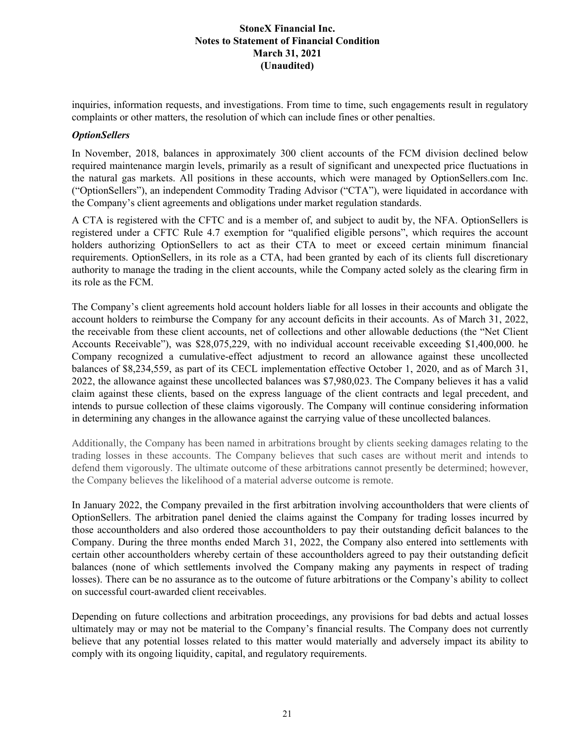inquiries, information requests, and investigations. From time to time, such engagements result in regulatory complaints or other matters, the resolution of which can include fines or other penalties.

#### *OptionSellers*

In November, 2018, balances in approximately 300 client accounts of the FCM division declined below required maintenance margin levels, primarily as a result of significant and unexpected price fluctuations in the natural gas markets. All positions in these accounts, which were managed by OptionSellers.com Inc. ("OptionSellers"), an independent Commodity Trading Advisor ("CTA"), were liquidated in accordance with the Company's client agreements and obligations under market regulation standards.

A CTA is registered with the CFTC and is a member of, and subject to audit by, the NFA. OptionSellers is registered under a CFTC Rule 4.7 exemption for "qualified eligible persons", which requires the account holders authorizing OptionSellers to act as their CTA to meet or exceed certain minimum financial requirements. OptionSellers, in its role as a CTA, had been granted by each of its clients full discretionary authority to manage the trading in the client accounts, while the Company acted solely as the clearing firm in its role as the FCM.

The Company's client agreements hold account holders liable for all losses in their accounts and obligate the account holders to reimburse the Company for any account deficits in their accounts. As of March 31, 2022, the receivable from these client accounts, net of collections and other allowable deductions (the "Net Client Accounts Receivable"), was \$28,075,229, with no individual account receivable exceeding \$1,400,000. he Company recognized a cumulative-effect adjustment to record an allowance against these uncollected balances of \$8,234,559, as part of its CECL implementation effective October 1, 2020, and as of March 31, 2022, the allowance against these uncollected balances was \$7,980,023. The Company believes it has a valid claim against these clients, based on the express language of the client contracts and legal precedent, and intends to pursue collection of these claims vigorously. The Company will continue considering information in determining any changes in the allowance against the carrying value of these uncollected balances.

Additionally, the Company has been named in arbitrations brought by clients seeking damages relating to the trading losses in these accounts. The Company believes that such cases are without merit and intends to defend them vigorously. The ultimate outcome of these arbitrations cannot presently be determined; however, the Company believes the likelihood of a material adverse outcome is remote.

In January 2022, the Company prevailed in the first arbitration involving accountholders that were clients of OptionSellers. The arbitration panel denied the claims against the Company for trading losses incurred by those accountholders and also ordered those accountholders to pay their outstanding deficit balances to the Company. During the three months ended March 31, 2022, the Company also entered into settlements with certain other accountholders whereby certain of these accountholders agreed to pay their outstanding deficit balances (none of which settlements involved the Company making any payments in respect of trading losses). There can be no assurance as to the outcome of future arbitrations or the Company's ability to collect on successful court-awarded client receivables.

Depending on future collections and arbitration proceedings, any provisions for bad debts and actual losses ultimately may or may not be material to the Company's financial results. The Company does not currently believe that any potential losses related to this matter would materially and adversely impact its ability to comply with its ongoing liquidity, capital, and regulatory requirements.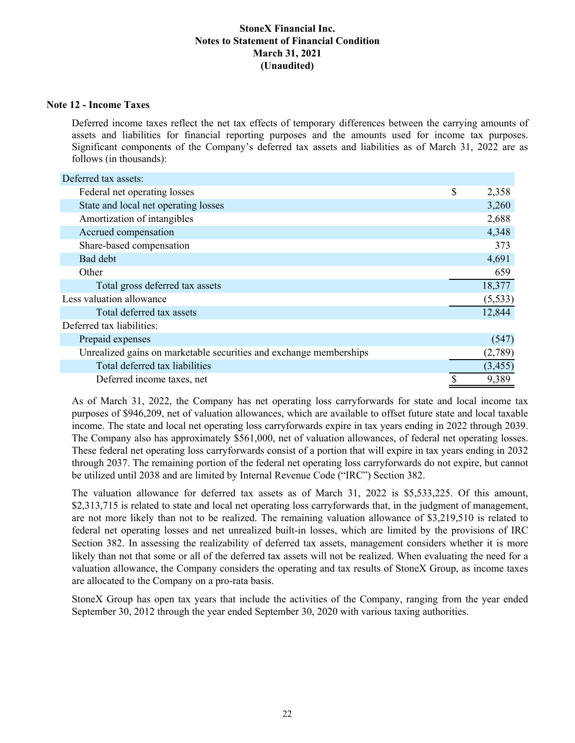#### **Note 12 - Income Taxes**

Deferred income taxes reflect the net tax effects of temporary differences between the carrying amounts of assets and liabilities for financial reporting purposes and the amounts used for income tax purposes. Significant components of the Company's deferred tax assets and liabilities as of March 31, 2022 are as follows (in thousands):

| Deferred tax assets:                                               |             |
|--------------------------------------------------------------------|-------------|
| Federal net operating losses                                       | \$<br>2,358 |
| State and local net operating losses                               | 3,260       |
| Amortization of intangibles                                        | 2,688       |
| Accrued compensation                                               | 4,348       |
| Share-based compensation                                           | 373         |
| Bad debt                                                           | 4,691       |
| Other                                                              | 659         |
| Total gross deferred tax assets                                    | 18,377      |
| Less valuation allowance                                           | (5, 533)    |
| Total deferred tax assets                                          | 12,844      |
| Deferred tax liabilities:                                          |             |
| Prepaid expenses                                                   | (547)       |
| Unrealized gains on marketable securities and exchange memberships | (2,789)     |
| Total deferred tax liabilities                                     | (3, 455)    |
| Deferred income taxes, net                                         | 9,389       |

As of March 31, 2022, the Company has net operating loss carryforwards for state and local income tax purposes of \$946,209, net of valuation allowances, which are available to offset future state and local taxable income. The state and local net operating loss carryforwards expire in tax years ending in 2022 through 2039. The Company also has approximately \$561,000, net of valuation allowances, of federal net operating losses. These federal net operating loss carryforwards consist of a portion that will expire in tax years ending in 2032 through 2037. The remaining portion of the federal net operating loss carryforwards do not expire, but cannot be utilized until 2038 and are limited by Internal Revenue Code ("IRC") Section 382.

The valuation allowance for deferred tax assets as of March 31, 2022 is \$5,533,225. Of this amount, \$2,313,715 is related to state and local net operating loss carryforwards that, in the judgment of management, are not more likely than not to be realized. The remaining valuation allowance of \$3,219,510 is related to federal net operating losses and net unrealized built-in losses, which are limited by the provisions of IRC Section 382. In assessing the realizability of deferred tax assets, management considers whether it is more likely than not that some or all of the deferred tax assets will not be realized. When evaluating the need for a valuation allowance, the Company considers the operating and tax results of StoneX Group, as income taxes are allocated to the Company on a pro-rata basis.

StoneX Group has open tax years that include the activities of the Company, ranging from the year ended September 30, 2012 through the year ended September 30, 2020 with various taxing authorities.